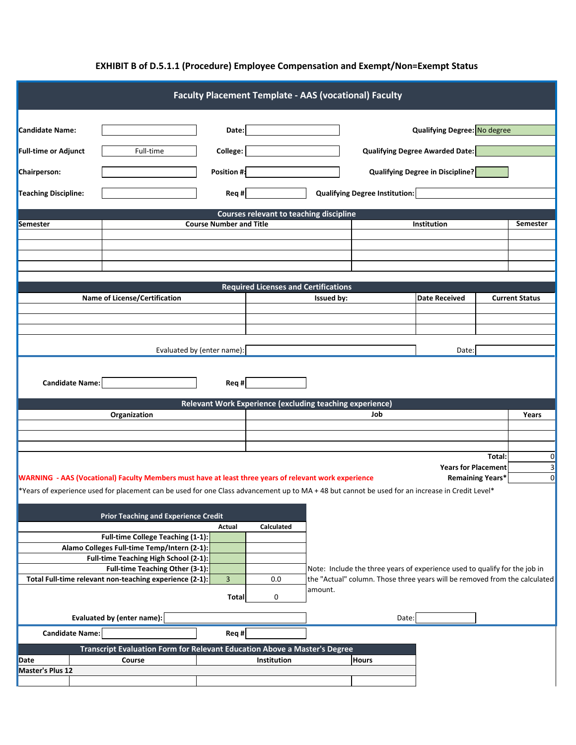| <b>Faculty Placement Template - AAS (vocational) Faculty</b>                                       |                                                                                                                                                                                                                                                                                            |                            |                                             |         |                                                                            |                                         |                       |                     |  |  |  |  |
|----------------------------------------------------------------------------------------------------|--------------------------------------------------------------------------------------------------------------------------------------------------------------------------------------------------------------------------------------------------------------------------------------------|----------------------------|---------------------------------------------|---------|----------------------------------------------------------------------------|-----------------------------------------|-----------------------|---------------------|--|--|--|--|
|                                                                                                    |                                                                                                                                                                                                                                                                                            |                            |                                             |         |                                                                            |                                         |                       |                     |  |  |  |  |
| <b>Candidate Name:</b>                                                                             |                                                                                                                                                                                                                                                                                            | Date:                      |                                             |         |                                                                            | <b>Qualifying Degree: No degree</b>     |                       |                     |  |  |  |  |
| <b>Full-time or Adjunct</b>                                                                        | Full-time                                                                                                                                                                                                                                                                                  | <b>College:</b>            |                                             |         |                                                                            | <b>Qualifying Degree Awarded Date:</b>  |                       |                     |  |  |  |  |
|                                                                                                    |                                                                                                                                                                                                                                                                                            |                            |                                             |         |                                                                            |                                         |                       |                     |  |  |  |  |
| <b>Chairperson:</b>                                                                                | Position #:                                                                                                                                                                                                                                                                                |                            |                                             |         |                                                                            | <b>Qualifying Degree in Discipline?</b> |                       |                     |  |  |  |  |
| <b>Qualifying Degree Institution:</b><br><b>Teaching Discipline:</b><br>Req #                      |                                                                                                                                                                                                                                                                                            |                            |                                             |         |                                                                            |                                         |                       |                     |  |  |  |  |
| <b>Courses relevant to teaching discipline</b>                                                     |                                                                                                                                                                                                                                                                                            |                            |                                             |         |                                                                            |                                         |                       |                     |  |  |  |  |
| Semester                                                                                           | <b>Course Number and Title</b>                                                                                                                                                                                                                                                             |                            |                                             |         |                                                                            | <b>Institution</b>                      |                       | <b>Semester</b>     |  |  |  |  |
|                                                                                                    |                                                                                                                                                                                                                                                                                            |                            |                                             |         |                                                                            |                                         |                       |                     |  |  |  |  |
|                                                                                                    |                                                                                                                                                                                                                                                                                            |                            |                                             |         |                                                                            |                                         |                       |                     |  |  |  |  |
|                                                                                                    |                                                                                                                                                                                                                                                                                            |                            |                                             |         |                                                                            |                                         |                       |                     |  |  |  |  |
|                                                                                                    |                                                                                                                                                                                                                                                                                            |                            |                                             |         |                                                                            |                                         |                       |                     |  |  |  |  |
|                                                                                                    |                                                                                                                                                                                                                                                                                            |                            | <b>Required Licenses and Certifications</b> |         |                                                                            |                                         |                       |                     |  |  |  |  |
|                                                                                                    | <b>Name of License/Certification</b>                                                                                                                                                                                                                                                       |                            | Issued by:                                  |         | <b>Date Received</b>                                                       |                                         | <b>Current Status</b> |                     |  |  |  |  |
|                                                                                                    |                                                                                                                                                                                                                                                                                            |                            |                                             |         |                                                                            |                                         |                       |                     |  |  |  |  |
|                                                                                                    |                                                                                                                                                                                                                                                                                            |                            |                                             |         |                                                                            |                                         |                       |                     |  |  |  |  |
|                                                                                                    |                                                                                                                                                                                                                                                                                            |                            |                                             |         |                                                                            |                                         |                       |                     |  |  |  |  |
|                                                                                                    |                                                                                                                                                                                                                                                                                            | Evaluated by (enter name): |                                             |         |                                                                            | Date:                                   |                       |                     |  |  |  |  |
| <b>Candidate Name:</b><br>Req #<br><b>Relevant Work Experience (excluding teaching experience)</b> |                                                                                                                                                                                                                                                                                            |                            |                                             |         |                                                                            |                                         |                       |                     |  |  |  |  |
|                                                                                                    | Organization                                                                                                                                                                                                                                                                               |                            |                                             |         | Job                                                                        |                                         |                       | Years               |  |  |  |  |
|                                                                                                    |                                                                                                                                                                                                                                                                                            |                            |                                             |         |                                                                            |                                         |                       |                     |  |  |  |  |
|                                                                                                    |                                                                                                                                                                                                                                                                                            |                            |                                             |         |                                                                            |                                         |                       |                     |  |  |  |  |
|                                                                                                    |                                                                                                                                                                                                                                                                                            |                            |                                             |         |                                                                            |                                         |                       |                     |  |  |  |  |
|                                                                                                    |                                                                                                                                                                                                                                                                                            |                            |                                             |         |                                                                            |                                         | Total:                | $\Omega$<br>$\vert$ |  |  |  |  |
|                                                                                                    | <b>Years for Placement</b>                                                                                                                                                                                                                                                                 |                            |                                             |         |                                                                            |                                         |                       |                     |  |  |  |  |
|                                                                                                    | <b>WARNING</b> - AAS (Vocational) Faculty Members must have at least three years of relevant work experience<br><b>Remaining Years*</b><br>*Years of experience used for placement can be used for one Class advancement up to MA + 48 but cannot be used for an increase in Credit Level* |                            |                                             |         |                                                                            |                                         |                       |                     |  |  |  |  |
|                                                                                                    |                                                                                                                                                                                                                                                                                            |                            |                                             |         |                                                                            |                                         |                       |                     |  |  |  |  |
|                                                                                                    |                                                                                                                                                                                                                                                                                            |                            |                                             |         |                                                                            |                                         |                       |                     |  |  |  |  |
|                                                                                                    | <b>Prior Teaching and Experience Credit</b>                                                                                                                                                                                                                                                | <b>Calculated</b>          |                                             |         |                                                                            |                                         |                       |                     |  |  |  |  |
|                                                                                                    | <b>Full-time College Teaching (1-1):</b>                                                                                                                                                                                                                                                   | Actual                     |                                             |         |                                                                            |                                         |                       |                     |  |  |  |  |
|                                                                                                    | Alamo Colleges Full-time Temp/Intern (2-1):                                                                                                                                                                                                                                                |                            |                                             |         |                                                                            |                                         |                       |                     |  |  |  |  |
|                                                                                                    | Full-time Teaching High School (2-1):                                                                                                                                                                                                                                                      |                            |                                             |         |                                                                            |                                         |                       |                     |  |  |  |  |
| Full-time Teaching Other (3-1):                                                                    |                                                                                                                                                                                                                                                                                            |                            |                                             |         | Note: Include the three years of experience used to qualify for the job in |                                         |                       |                     |  |  |  |  |
|                                                                                                    | Total Full-time relevant non-teaching experience (2-1):                                                                                                                                                                                                                                    | $\overline{3}$             | 0.0                                         | amount. | the "Actual" column. Those three years will be removed from the calculated |                                         |                       |                     |  |  |  |  |
|                                                                                                    |                                                                                                                                                                                                                                                                                            | <b>Total</b>               | 0                                           |         |                                                                            |                                         |                       |                     |  |  |  |  |
| Evaluated by (enter name):                                                                         |                                                                                                                                                                                                                                                                                            |                            |                                             |         | Date:                                                                      |                                         |                       |                     |  |  |  |  |
| <b>Candidate Name:</b>                                                                             |                                                                                                                                                                                                                                                                                            | Req #                      |                                             |         |                                                                            |                                         |                       |                     |  |  |  |  |
|                                                                                                    | <b>Transcript Evaluation Form for Relevant Education Above a Master's Degree</b>                                                                                                                                                                                                           |                            |                                             |         |                                                                            |                                         |                       |                     |  |  |  |  |
| Institution<br><b>Hours</b><br><b>Date</b><br>Course                                               |                                                                                                                                                                                                                                                                                            |                            |                                             |         |                                                                            |                                         |                       |                     |  |  |  |  |
| <b>Master's Plus 12</b>                                                                            |                                                                                                                                                                                                                                                                                            |                            |                                             |         |                                                                            |                                         |                       |                     |  |  |  |  |
|                                                                                                    |                                                                                                                                                                                                                                                                                            |                            |                                             |         |                                                                            |                                         |                       |                     |  |  |  |  |

## **EXHIBIT B of D.5.1.1 (Procedure) Employee Compensation and Exempt/Non=Exempt Status**